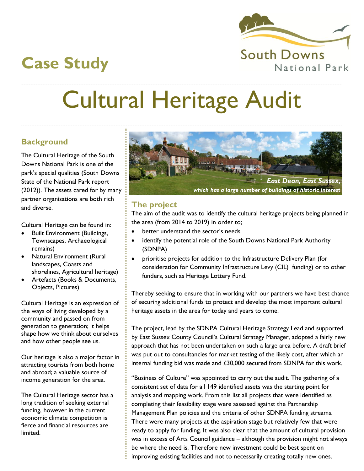

## **Case Study**

# Cultural Heritage Audit

### **Background**

The Cultural Heritage of the South Downs National Park is one of the park's special qualities (South Downs State of the National Park report (2012)). The assets cared for by many partner organisations are both rich and diverse.

Cultural Heritage can be found in:

- Built Environment (Buildings, Townscapes, Archaeological remains)
- Natural Environment (Rural landscapes, Coasts and shorelines, Agricultural heritage)
- Artefacts (Books & Documents, Objects, Pictures)

Cultural Heritage is an expression of the ways of living developed by a community and passed on from generation to generation; it helps shape how we think about ourselves and how other people see us.

Our heritage is also a major factor in attracting tourists from both home and abroad; a valuable source of income generation for the area.

The Cultural Heritage sector has a long tradition of seeking external funding, however in the current economic climate competition is fierce and financial resources are limited.



#### **The project**

The aim of the audit was to identify the cultural heritage projects being planned in the area (from 2014 to 2019) in order to;

- better understand the sector's needs
- identify the potential role of the South Downs National Park Authority (SDNPA)
- prioritise projects for addition to the Infrastructure Delivery Plan (for consideration for Community Infrastructure Levy (CIL) funding) or to other funders, such as Heritage Lottery Fund.

Thereby seeking to ensure that in working with our partners we have best chance of securing additional funds to protect and develop the most important cultural heritage assets in the area for today and years to come.

The project, lead by the SDNPA Cultural Heritage Strategy Lead and supported by East Sussex County Council's Cultural Strategy Manager, adopted a fairly new approach that has not been undertaken on such a large area before. A draft brief was put out to consultancies for market testing of the likely cost, after which an internal funding bid was made and £30,000 secured from SDNPA for this work.

"Business of Culture" was appointed to carry out the audit. The gathering of a consistent set of data for all 149 identified assets was the starting point for analysis and mapping work. From this list all projects that were identified as completing their feasibility stage were assessed against the Partnership Management Plan policies and the criteria of other SDNPA funding streams. There were many projects at the aspiration stage but relatively few that were ready to apply for funding. It was also clear that the amount of cultural provision was in excess of Arts Council guidance – although the provision might not always be where the need is. Therefore new investment could be best spent on improving existing facilities and not to necessarily creating totally new ones.